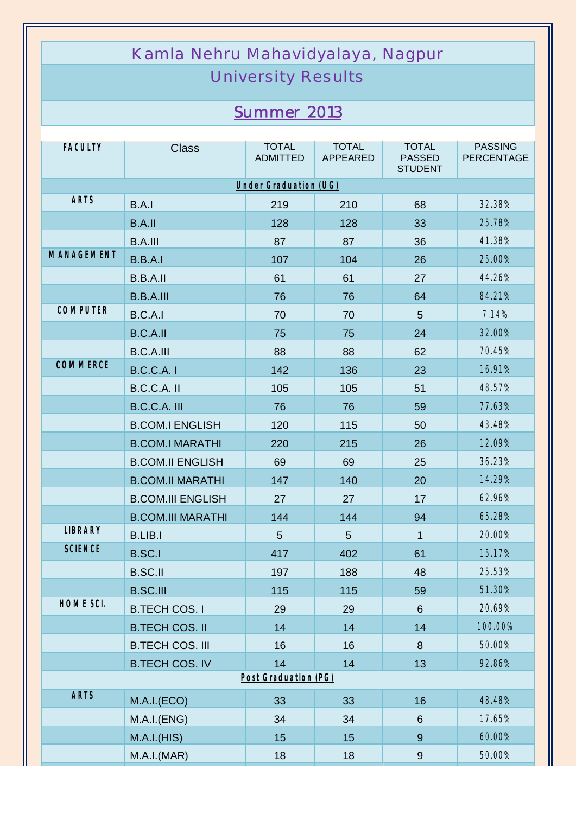## Kamla Nehru Mahavidyalaya, Nagpur University Results

## *Summer 2013*

| <b>FACULTY</b>        | <b>Class</b>             | <b>TOTAL</b><br><b>ADMITTED</b> | <b>TOTAL</b><br>APPEARED | <b>TOTAL</b><br><b>PASSED</b><br><b>STUDENT</b> | <b>PASSING</b><br><b>PERCENTAGE</b> |  |  |  |
|-----------------------|--------------------------|---------------------------------|--------------------------|-------------------------------------------------|-------------------------------------|--|--|--|
| Under Graduation (UG) |                          |                                 |                          |                                                 |                                     |  |  |  |
| <b>ARTS</b>           | B.A.1                    | 219                             | 210                      | 68                                              | 32.38%                              |  |  |  |
|                       | <b>B.A.II</b>            | 128                             | 128                      | 33                                              | 25.78%                              |  |  |  |
|                       | <b>B.A.III</b>           | 87                              | 87                       | 36                                              | 41.38%                              |  |  |  |
| <b>MANAGEMENT</b>     | B.B.A.I                  | 107                             | 104                      | 26                                              | 25.00%                              |  |  |  |
|                       | <b>B.B.A.II</b>          | 61                              | 61                       | 27                                              | 44.26%                              |  |  |  |
|                       | <b>B.B.A.III</b>         | 76                              | 76                       | 64                                              | 84.21%                              |  |  |  |
| <b>COMPUTER</b>       | B.C.A.I                  | 70                              | 70                       | 5                                               | 7.14%                               |  |  |  |
|                       | <b>B.C.A.II</b>          | 75                              | 75                       | 24                                              | 32.00%                              |  |  |  |
|                       | <b>B.C.A.III</b>         | 88                              | 88                       | 62                                              | 70.45%                              |  |  |  |
| <b>COMMERCE</b>       | <b>B.C.C.A.1</b>         | 142                             | 136                      | 23                                              | 16.91%                              |  |  |  |
|                       | B.C.C.A. II              | 105                             | 105                      | 51                                              | 48.57%                              |  |  |  |
|                       | B.C.C.A. III             | 76                              | 76                       | 59                                              | 77.63%                              |  |  |  |
|                       | <b>B.COM.I ENGLISH</b>   | 120                             | 115                      | 50                                              | 43.48%                              |  |  |  |
|                       | <b>B.COM.I MARATHI</b>   | 220                             | 215                      | 26                                              | 12.09%                              |  |  |  |
|                       | <b>B.COM.II ENGLISH</b>  | 69                              | 69                       | 25                                              | 36.23%                              |  |  |  |
|                       | <b>B.COM.II MARATHI</b>  | 147                             | 140                      | 20                                              | 14.29%                              |  |  |  |
|                       | <b>B.COM.III ENGLISH</b> | 27                              | 27                       | 17                                              | 62.96%                              |  |  |  |
|                       | <b>B.COM.III MARATHI</b> | 144                             | 144                      | 94                                              | 65.28%                              |  |  |  |
| <b>LIBRARY</b>        | <b>B.LIB.I</b>           | 5                               | 5                        | $\mathbf{1}$                                    | 20.00%                              |  |  |  |
| <b>SCIENCE</b>        | <b>B.SC.I</b>            | 417                             | 402                      | 61                                              | 15.17%                              |  |  |  |
|                       | <b>B.SC.II</b>           | 197                             | 188                      | 48                                              | 25.53%                              |  |  |  |
|                       | <b>B.SC.III</b>          | 115                             | 115                      | 59                                              | 51.30%                              |  |  |  |
| HOME SCI.             | <b>B.TECH COS. I</b>     | 29                              | 29                       | $6\phantom{1}$                                  | 20.69%                              |  |  |  |
|                       | <b>B.TECH COS. II</b>    | 14                              | 14                       | 14                                              | 100.00%                             |  |  |  |
|                       | <b>B.TECH COS. III</b>   | 16                              | 16                       | 8                                               | 50.00%                              |  |  |  |
|                       | <b>B.TECH COS. IV</b>    | 14                              | 14                       | 13                                              | 92.86%                              |  |  |  |
| Post Graduation (PG)  |                          |                                 |                          |                                                 |                                     |  |  |  |
| <b>ARTS</b>           | M.A.I.(ECO)              | 33                              | 33                       | 16                                              | 48.48%                              |  |  |  |
|                       | M.A.I.(ENG)              | 34                              | 34                       | 6                                               | 17.65%                              |  |  |  |
|                       | M.A.I.(HIS)              | 15                              | 15                       | $\overline{9}$                                  | 60.00%                              |  |  |  |
|                       | M.A.I.(MAR)              | 18                              | 18                       | $\boldsymbol{9}$                                | 50.00%                              |  |  |  |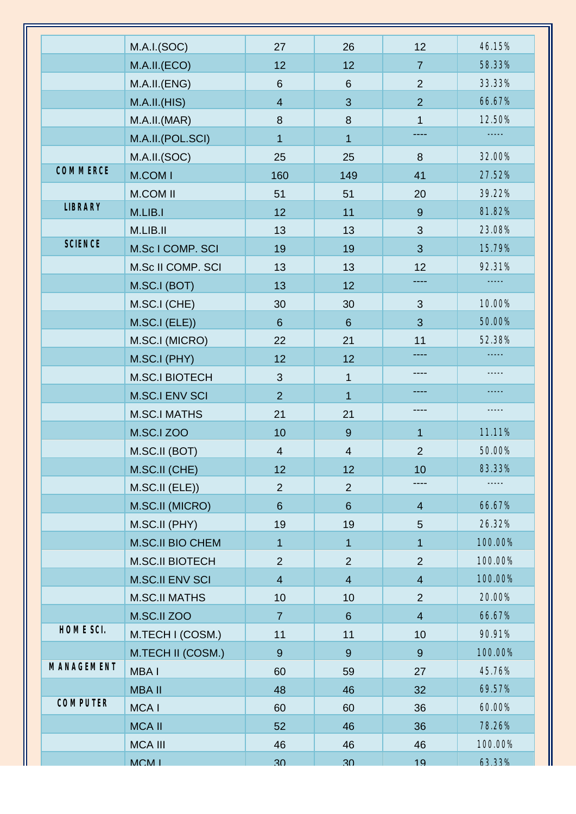| 58.33%<br>M.A.II.(ECO)<br>12<br>12<br>$\overline{7}$<br>33.33%<br>M.A.I.I.(ENG)<br>$\overline{2}$<br>$6\phantom{1}$<br>6<br>66.67%<br>M.A.I.I.(HIS)<br>3<br>$\overline{2}$<br>$\overline{4}$<br>12.50%<br>$\boldsymbol{8}$<br>M.A.I.I.(MAR)<br>8<br>$\mathbf{1}$<br>-----<br>M.A.II.(POL.SCI)<br>$\mathbf{1}$<br>1<br>32.00%<br>M.A.II.(SOC)<br>8<br>25<br>25<br>COMMERCE<br>M.COM I<br>160<br>27.52%<br>149<br>41<br>39.22%<br><b>M.COM II</b><br>51<br>20<br>51<br><b>LIBRARY</b><br>M.LIB.I<br>81.82%<br>12<br>11<br>9<br>23.08%<br>M.LIB.II<br>3<br>13<br>13<br><b>SCIENCE</b><br>15.79%<br>M.Sc I COMP. SCI<br>3<br>19<br>19<br>92.31%<br>M.Sc II COMP. SCI<br>12<br>13<br>13<br>M.SC.I (BOT)<br>13<br>12<br>M.SC.I (CHE)<br>10.00%<br>30<br>30<br>3<br>50.00%<br>M.SC.I (ELE))<br>3<br>$6\phantom{1}$<br>$6\,$<br>52.38%<br>M.SC.I (MICRO)<br>22<br>21<br>11<br>-----<br>M.SC.I (PHY)<br>12<br>12<br>----<br><b>M.SC.I BIOTECH</b><br>$\mathfrak{S}$<br>1<br><b>M.SC.I ENV SCI</b><br>$\overline{2}$<br>$\mathbf{1}$<br><b>M.SC.I MATHS</b><br>21<br>21<br><b>M.SC.I ZOO</b><br>10<br>$\boldsymbol{9}$<br>11.11%<br>$\mathbf{1}$<br>50.00%<br>M.SC.II (BOT)<br>$\overline{4}$<br>$\overline{\mathcal{A}}$<br>$\overline{2}$<br>83.33%<br>M.SC.II (CHE)<br>12<br>12<br>10<br>M.SC.II (ELE))<br>$\overline{2}$<br>$\overline{2}$<br>M.SC.II (MICRO)<br>66.67%<br>$6\phantom{1}$<br>$6\phantom{1}$<br>$\overline{4}$<br>26.32%<br>M.SC.II (PHY)<br>19<br>19<br>5<br>M.SC.II BIO CHEM<br>100.00%<br>$\mathbf{1}$<br>$\mathbf{1}$<br>1<br>100.00%<br>$\overline{2}$<br><b>M.SC.II BIOTECH</b><br>$\overline{2}$<br>$\overline{2}$<br>100.00%<br><b>M.SC.II ENV SCI</b><br>$\overline{\mathbf{4}}$<br>$\overline{4}$<br>$\overline{4}$<br><b>M.SC.II MATHS</b><br>20.00%<br>10<br>2<br>10<br>66.67%<br>M.SC.II ZOO<br>$\overline{4}$<br>$\overline{7}$<br>$\,6\,$<br>HOME SCI.<br>90.91%<br>M.TECH I (COSM.)<br>11<br>11<br>10<br>M.TECH II (COSM.)<br>100.00%<br>$9\,$<br>$9\,$<br>9<br>45.76%<br>MBA I<br>60<br>59<br>27<br>69.57%<br><b>MBA II</b><br>48<br>32<br>46<br><b>COMPUTER</b><br>MCA I<br>60.00%<br>60<br>60<br>36<br>78.26%<br><b>MCA II</b><br>52<br>46<br>36<br>100.00%<br><b>MCA III</b><br>46<br>46<br>46<br>MCM <sub>I</sub><br>63.33%<br>30 <sub>o</sub><br>30 <sub>o</sub><br>19 |            |             |    |    |    |        |
|-------------------------------------------------------------------------------------------------------------------------------------------------------------------------------------------------------------------------------------------------------------------------------------------------------------------------------------------------------------------------------------------------------------------------------------------------------------------------------------------------------------------------------------------------------------------------------------------------------------------------------------------------------------------------------------------------------------------------------------------------------------------------------------------------------------------------------------------------------------------------------------------------------------------------------------------------------------------------------------------------------------------------------------------------------------------------------------------------------------------------------------------------------------------------------------------------------------------------------------------------------------------------------------------------------------------------------------------------------------------------------------------------------------------------------------------------------------------------------------------------------------------------------------------------------------------------------------------------------------------------------------------------------------------------------------------------------------------------------------------------------------------------------------------------------------------------------------------------------------------------------------------------------------------------------------------------------------------------------------------------------------------------------------------------------------------------------------------------------------------------------------------------------------------------------------------------------------------------------------------------------------------------------------------------------|------------|-------------|----|----|----|--------|
|                                                                                                                                                                                                                                                                                                                                                                                                                                                                                                                                                                                                                                                                                                                                                                                                                                                                                                                                                                                                                                                                                                                                                                                                                                                                                                                                                                                                                                                                                                                                                                                                                                                                                                                                                                                                                                                                                                                                                                                                                                                                                                                                                                                                                                                                                                       |            | M.A.I.(SOC) | 27 | 26 | 12 | 46.15% |
|                                                                                                                                                                                                                                                                                                                                                                                                                                                                                                                                                                                                                                                                                                                                                                                                                                                                                                                                                                                                                                                                                                                                                                                                                                                                                                                                                                                                                                                                                                                                                                                                                                                                                                                                                                                                                                                                                                                                                                                                                                                                                                                                                                                                                                                                                                       |            |             |    |    |    |        |
|                                                                                                                                                                                                                                                                                                                                                                                                                                                                                                                                                                                                                                                                                                                                                                                                                                                                                                                                                                                                                                                                                                                                                                                                                                                                                                                                                                                                                                                                                                                                                                                                                                                                                                                                                                                                                                                                                                                                                                                                                                                                                                                                                                                                                                                                                                       |            |             |    |    |    |        |
|                                                                                                                                                                                                                                                                                                                                                                                                                                                                                                                                                                                                                                                                                                                                                                                                                                                                                                                                                                                                                                                                                                                                                                                                                                                                                                                                                                                                                                                                                                                                                                                                                                                                                                                                                                                                                                                                                                                                                                                                                                                                                                                                                                                                                                                                                                       |            |             |    |    |    |        |
|                                                                                                                                                                                                                                                                                                                                                                                                                                                                                                                                                                                                                                                                                                                                                                                                                                                                                                                                                                                                                                                                                                                                                                                                                                                                                                                                                                                                                                                                                                                                                                                                                                                                                                                                                                                                                                                                                                                                                                                                                                                                                                                                                                                                                                                                                                       |            |             |    |    |    |        |
|                                                                                                                                                                                                                                                                                                                                                                                                                                                                                                                                                                                                                                                                                                                                                                                                                                                                                                                                                                                                                                                                                                                                                                                                                                                                                                                                                                                                                                                                                                                                                                                                                                                                                                                                                                                                                                                                                                                                                                                                                                                                                                                                                                                                                                                                                                       |            |             |    |    |    |        |
|                                                                                                                                                                                                                                                                                                                                                                                                                                                                                                                                                                                                                                                                                                                                                                                                                                                                                                                                                                                                                                                                                                                                                                                                                                                                                                                                                                                                                                                                                                                                                                                                                                                                                                                                                                                                                                                                                                                                                                                                                                                                                                                                                                                                                                                                                                       |            |             |    |    |    |        |
|                                                                                                                                                                                                                                                                                                                                                                                                                                                                                                                                                                                                                                                                                                                                                                                                                                                                                                                                                                                                                                                                                                                                                                                                                                                                                                                                                                                                                                                                                                                                                                                                                                                                                                                                                                                                                                                                                                                                                                                                                                                                                                                                                                                                                                                                                                       |            |             |    |    |    |        |
|                                                                                                                                                                                                                                                                                                                                                                                                                                                                                                                                                                                                                                                                                                                                                                                                                                                                                                                                                                                                                                                                                                                                                                                                                                                                                                                                                                                                                                                                                                                                                                                                                                                                                                                                                                                                                                                                                                                                                                                                                                                                                                                                                                                                                                                                                                       |            |             |    |    |    |        |
|                                                                                                                                                                                                                                                                                                                                                                                                                                                                                                                                                                                                                                                                                                                                                                                                                                                                                                                                                                                                                                                                                                                                                                                                                                                                                                                                                                                                                                                                                                                                                                                                                                                                                                                                                                                                                                                                                                                                                                                                                                                                                                                                                                                                                                                                                                       |            |             |    |    |    |        |
|                                                                                                                                                                                                                                                                                                                                                                                                                                                                                                                                                                                                                                                                                                                                                                                                                                                                                                                                                                                                                                                                                                                                                                                                                                                                                                                                                                                                                                                                                                                                                                                                                                                                                                                                                                                                                                                                                                                                                                                                                                                                                                                                                                                                                                                                                                       |            |             |    |    |    |        |
|                                                                                                                                                                                                                                                                                                                                                                                                                                                                                                                                                                                                                                                                                                                                                                                                                                                                                                                                                                                                                                                                                                                                                                                                                                                                                                                                                                                                                                                                                                                                                                                                                                                                                                                                                                                                                                                                                                                                                                                                                                                                                                                                                                                                                                                                                                       |            |             |    |    |    |        |
|                                                                                                                                                                                                                                                                                                                                                                                                                                                                                                                                                                                                                                                                                                                                                                                                                                                                                                                                                                                                                                                                                                                                                                                                                                                                                                                                                                                                                                                                                                                                                                                                                                                                                                                                                                                                                                                                                                                                                                                                                                                                                                                                                                                                                                                                                                       |            |             |    |    |    |        |
|                                                                                                                                                                                                                                                                                                                                                                                                                                                                                                                                                                                                                                                                                                                                                                                                                                                                                                                                                                                                                                                                                                                                                                                                                                                                                                                                                                                                                                                                                                                                                                                                                                                                                                                                                                                                                                                                                                                                                                                                                                                                                                                                                                                                                                                                                                       |            |             |    |    |    |        |
|                                                                                                                                                                                                                                                                                                                                                                                                                                                                                                                                                                                                                                                                                                                                                                                                                                                                                                                                                                                                                                                                                                                                                                                                                                                                                                                                                                                                                                                                                                                                                                                                                                                                                                                                                                                                                                                                                                                                                                                                                                                                                                                                                                                                                                                                                                       |            |             |    |    |    |        |
|                                                                                                                                                                                                                                                                                                                                                                                                                                                                                                                                                                                                                                                                                                                                                                                                                                                                                                                                                                                                                                                                                                                                                                                                                                                                                                                                                                                                                                                                                                                                                                                                                                                                                                                                                                                                                                                                                                                                                                                                                                                                                                                                                                                                                                                                                                       |            |             |    |    |    |        |
|                                                                                                                                                                                                                                                                                                                                                                                                                                                                                                                                                                                                                                                                                                                                                                                                                                                                                                                                                                                                                                                                                                                                                                                                                                                                                                                                                                                                                                                                                                                                                                                                                                                                                                                                                                                                                                                                                                                                                                                                                                                                                                                                                                                                                                                                                                       |            |             |    |    |    |        |
|                                                                                                                                                                                                                                                                                                                                                                                                                                                                                                                                                                                                                                                                                                                                                                                                                                                                                                                                                                                                                                                                                                                                                                                                                                                                                                                                                                                                                                                                                                                                                                                                                                                                                                                                                                                                                                                                                                                                                                                                                                                                                                                                                                                                                                                                                                       |            |             |    |    |    |        |
|                                                                                                                                                                                                                                                                                                                                                                                                                                                                                                                                                                                                                                                                                                                                                                                                                                                                                                                                                                                                                                                                                                                                                                                                                                                                                                                                                                                                                                                                                                                                                                                                                                                                                                                                                                                                                                                                                                                                                                                                                                                                                                                                                                                                                                                                                                       |            |             |    |    |    |        |
|                                                                                                                                                                                                                                                                                                                                                                                                                                                                                                                                                                                                                                                                                                                                                                                                                                                                                                                                                                                                                                                                                                                                                                                                                                                                                                                                                                                                                                                                                                                                                                                                                                                                                                                                                                                                                                                                                                                                                                                                                                                                                                                                                                                                                                                                                                       |            |             |    |    |    |        |
|                                                                                                                                                                                                                                                                                                                                                                                                                                                                                                                                                                                                                                                                                                                                                                                                                                                                                                                                                                                                                                                                                                                                                                                                                                                                                                                                                                                                                                                                                                                                                                                                                                                                                                                                                                                                                                                                                                                                                                                                                                                                                                                                                                                                                                                                                                       |            |             |    |    |    |        |
|                                                                                                                                                                                                                                                                                                                                                                                                                                                                                                                                                                                                                                                                                                                                                                                                                                                                                                                                                                                                                                                                                                                                                                                                                                                                                                                                                                                                                                                                                                                                                                                                                                                                                                                                                                                                                                                                                                                                                                                                                                                                                                                                                                                                                                                                                                       |            |             |    |    |    |        |
|                                                                                                                                                                                                                                                                                                                                                                                                                                                                                                                                                                                                                                                                                                                                                                                                                                                                                                                                                                                                                                                                                                                                                                                                                                                                                                                                                                                                                                                                                                                                                                                                                                                                                                                                                                                                                                                                                                                                                                                                                                                                                                                                                                                                                                                                                                       |            |             |    |    |    |        |
|                                                                                                                                                                                                                                                                                                                                                                                                                                                                                                                                                                                                                                                                                                                                                                                                                                                                                                                                                                                                                                                                                                                                                                                                                                                                                                                                                                                                                                                                                                                                                                                                                                                                                                                                                                                                                                                                                                                                                                                                                                                                                                                                                                                                                                                                                                       |            |             |    |    |    |        |
|                                                                                                                                                                                                                                                                                                                                                                                                                                                                                                                                                                                                                                                                                                                                                                                                                                                                                                                                                                                                                                                                                                                                                                                                                                                                                                                                                                                                                                                                                                                                                                                                                                                                                                                                                                                                                                                                                                                                                                                                                                                                                                                                                                                                                                                                                                       |            |             |    |    |    |        |
|                                                                                                                                                                                                                                                                                                                                                                                                                                                                                                                                                                                                                                                                                                                                                                                                                                                                                                                                                                                                                                                                                                                                                                                                                                                                                                                                                                                                                                                                                                                                                                                                                                                                                                                                                                                                                                                                                                                                                                                                                                                                                                                                                                                                                                                                                                       |            |             |    |    |    |        |
|                                                                                                                                                                                                                                                                                                                                                                                                                                                                                                                                                                                                                                                                                                                                                                                                                                                                                                                                                                                                                                                                                                                                                                                                                                                                                                                                                                                                                                                                                                                                                                                                                                                                                                                                                                                                                                                                                                                                                                                                                                                                                                                                                                                                                                                                                                       |            |             |    |    |    |        |
|                                                                                                                                                                                                                                                                                                                                                                                                                                                                                                                                                                                                                                                                                                                                                                                                                                                                                                                                                                                                                                                                                                                                                                                                                                                                                                                                                                                                                                                                                                                                                                                                                                                                                                                                                                                                                                                                                                                                                                                                                                                                                                                                                                                                                                                                                                       |            |             |    |    |    |        |
|                                                                                                                                                                                                                                                                                                                                                                                                                                                                                                                                                                                                                                                                                                                                                                                                                                                                                                                                                                                                                                                                                                                                                                                                                                                                                                                                                                                                                                                                                                                                                                                                                                                                                                                                                                                                                                                                                                                                                                                                                                                                                                                                                                                                                                                                                                       |            |             |    |    |    |        |
|                                                                                                                                                                                                                                                                                                                                                                                                                                                                                                                                                                                                                                                                                                                                                                                                                                                                                                                                                                                                                                                                                                                                                                                                                                                                                                                                                                                                                                                                                                                                                                                                                                                                                                                                                                                                                                                                                                                                                                                                                                                                                                                                                                                                                                                                                                       |            |             |    |    |    |        |
|                                                                                                                                                                                                                                                                                                                                                                                                                                                                                                                                                                                                                                                                                                                                                                                                                                                                                                                                                                                                                                                                                                                                                                                                                                                                                                                                                                                                                                                                                                                                                                                                                                                                                                                                                                                                                                                                                                                                                                                                                                                                                                                                                                                                                                                                                                       |            |             |    |    |    |        |
|                                                                                                                                                                                                                                                                                                                                                                                                                                                                                                                                                                                                                                                                                                                                                                                                                                                                                                                                                                                                                                                                                                                                                                                                                                                                                                                                                                                                                                                                                                                                                                                                                                                                                                                                                                                                                                                                                                                                                                                                                                                                                                                                                                                                                                                                                                       |            |             |    |    |    |        |
|                                                                                                                                                                                                                                                                                                                                                                                                                                                                                                                                                                                                                                                                                                                                                                                                                                                                                                                                                                                                                                                                                                                                                                                                                                                                                                                                                                                                                                                                                                                                                                                                                                                                                                                                                                                                                                                                                                                                                                                                                                                                                                                                                                                                                                                                                                       |            |             |    |    |    |        |
|                                                                                                                                                                                                                                                                                                                                                                                                                                                                                                                                                                                                                                                                                                                                                                                                                                                                                                                                                                                                                                                                                                                                                                                                                                                                                                                                                                                                                                                                                                                                                                                                                                                                                                                                                                                                                                                                                                                                                                                                                                                                                                                                                                                                                                                                                                       |            |             |    |    |    |        |
|                                                                                                                                                                                                                                                                                                                                                                                                                                                                                                                                                                                                                                                                                                                                                                                                                                                                                                                                                                                                                                                                                                                                                                                                                                                                                                                                                                                                                                                                                                                                                                                                                                                                                                                                                                                                                                                                                                                                                                                                                                                                                                                                                                                                                                                                                                       | MANAGEMENT |             |    |    |    |        |
|                                                                                                                                                                                                                                                                                                                                                                                                                                                                                                                                                                                                                                                                                                                                                                                                                                                                                                                                                                                                                                                                                                                                                                                                                                                                                                                                                                                                                                                                                                                                                                                                                                                                                                                                                                                                                                                                                                                                                                                                                                                                                                                                                                                                                                                                                                       |            |             |    |    |    |        |
|                                                                                                                                                                                                                                                                                                                                                                                                                                                                                                                                                                                                                                                                                                                                                                                                                                                                                                                                                                                                                                                                                                                                                                                                                                                                                                                                                                                                                                                                                                                                                                                                                                                                                                                                                                                                                                                                                                                                                                                                                                                                                                                                                                                                                                                                                                       |            |             |    |    |    |        |
|                                                                                                                                                                                                                                                                                                                                                                                                                                                                                                                                                                                                                                                                                                                                                                                                                                                                                                                                                                                                                                                                                                                                                                                                                                                                                                                                                                                                                                                                                                                                                                                                                                                                                                                                                                                                                                                                                                                                                                                                                                                                                                                                                                                                                                                                                                       |            |             |    |    |    |        |
|                                                                                                                                                                                                                                                                                                                                                                                                                                                                                                                                                                                                                                                                                                                                                                                                                                                                                                                                                                                                                                                                                                                                                                                                                                                                                                                                                                                                                                                                                                                                                                                                                                                                                                                                                                                                                                                                                                                                                                                                                                                                                                                                                                                                                                                                                                       |            |             |    |    |    |        |
|                                                                                                                                                                                                                                                                                                                                                                                                                                                                                                                                                                                                                                                                                                                                                                                                                                                                                                                                                                                                                                                                                                                                                                                                                                                                                                                                                                                                                                                                                                                                                                                                                                                                                                                                                                                                                                                                                                                                                                                                                                                                                                                                                                                                                                                                                                       |            |             |    |    |    |        |